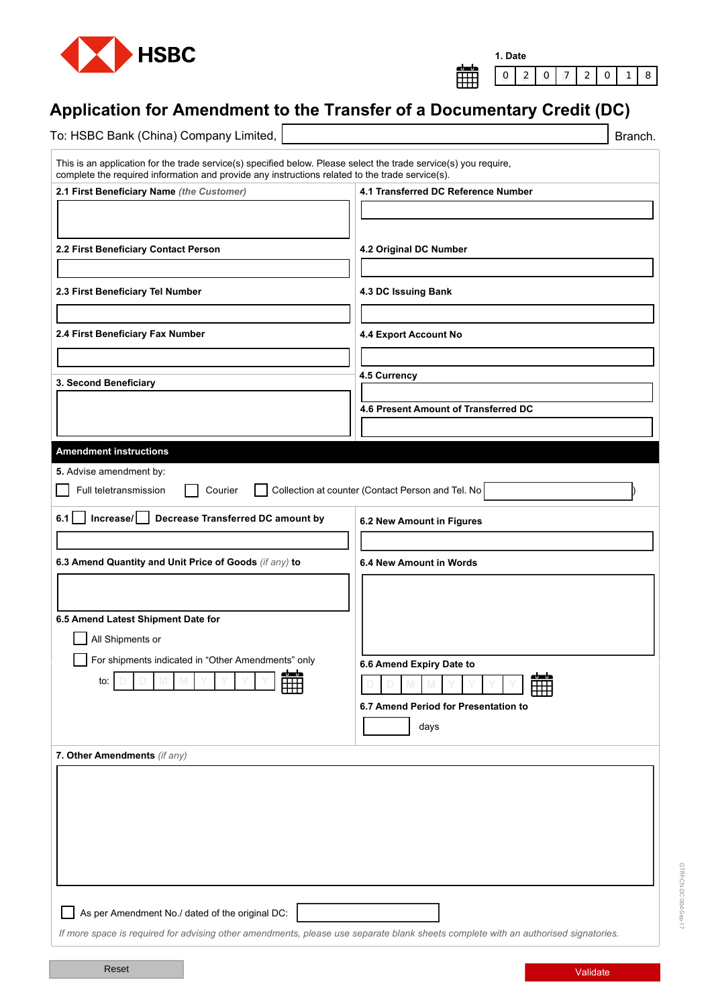

| Date<br>1. |  |  |  |  |  |  |   |  |  |
|------------|--|--|--|--|--|--|---|--|--|
|            |  |  |  |  |  |  | n |  |  |

## **Application for Amendment to the Transfer of a Documentary Credit (DC)**

| To: HSBC Bank (China) Company Limited,                                                                                                                                                                              | Branch.                                           |
|---------------------------------------------------------------------------------------------------------------------------------------------------------------------------------------------------------------------|---------------------------------------------------|
| This is an application for the trade service(s) specified below. Please select the trade service(s) you require,<br>complete the required information and provide any instructions related to the trade service(s). |                                                   |
| 2.1 First Beneficiary Name (the Customer)                                                                                                                                                                           | 4.1 Transferred DC Reference Number               |
|                                                                                                                                                                                                                     |                                                   |
|                                                                                                                                                                                                                     |                                                   |
| 2.2 First Beneficiary Contact Person                                                                                                                                                                                | 4.2 Original DC Number                            |
|                                                                                                                                                                                                                     |                                                   |
| 2.3 First Beneficiary Tel Number                                                                                                                                                                                    | 4.3 DC Issuing Bank                               |
|                                                                                                                                                                                                                     |                                                   |
|                                                                                                                                                                                                                     |                                                   |
| 2.4 First Beneficiary Fax Number                                                                                                                                                                                    | 4.4 Export Account No                             |
|                                                                                                                                                                                                                     |                                                   |
| 3. Second Beneficiary                                                                                                                                                                                               | 4.5 Currency                                      |
|                                                                                                                                                                                                                     |                                                   |
|                                                                                                                                                                                                                     | 4.6 Present Amount of Transferred DC              |
|                                                                                                                                                                                                                     |                                                   |
| <b>Amendment instructions</b>                                                                                                                                                                                       |                                                   |
| 5. Advise amendment by:                                                                                                                                                                                             |                                                   |
| Full teletransmission<br>Courier                                                                                                                                                                                    | Collection at counter (Contact Person and Tel. No |
| $6.1$ $\Box$<br>$Increase / \Box$<br>Decrease Transferred DC amount by                                                                                                                                              | 6.2 New Amount in Figures                         |
|                                                                                                                                                                                                                     |                                                   |
| 6.3 Amend Quantity and Unit Price of Goods (if any) to                                                                                                                                                              | 6.4 New Amount in Words                           |
|                                                                                                                                                                                                                     |                                                   |
|                                                                                                                                                                                                                     |                                                   |
|                                                                                                                                                                                                                     |                                                   |
| 6.5 Amend Latest Shipment Date for                                                                                                                                                                                  |                                                   |
| All Shipments or                                                                                                                                                                                                    |                                                   |
| For shipments indicated in "Other Amendments" only                                                                                                                                                                  | 6.6 Amend Expiry Date to                          |
| 盦<br>to:                                                                                                                                                                                                            | 雦                                                 |
|                                                                                                                                                                                                                     | 6.7 Amend Period for Presentation to              |
|                                                                                                                                                                                                                     | days                                              |
|                                                                                                                                                                                                                     |                                                   |
| 7. Other Amendments (if any)                                                                                                                                                                                        |                                                   |
|                                                                                                                                                                                                                     |                                                   |
|                                                                                                                                                                                                                     |                                                   |
|                                                                                                                                                                                                                     |                                                   |
|                                                                                                                                                                                                                     |                                                   |
|                                                                                                                                                                                                                     |                                                   |
|                                                                                                                                                                                                                     |                                                   |
|                                                                                                                                                                                                                     |                                                   |
|                                                                                                                                                                                                                     |                                                   |
| As per Amendment No./ dated of the original DC:                                                                                                                                                                     |                                                   |
| If more space is required for advising other amendments, please use separate blank sheets complete with an authorised signatories.                                                                                  |                                                   |